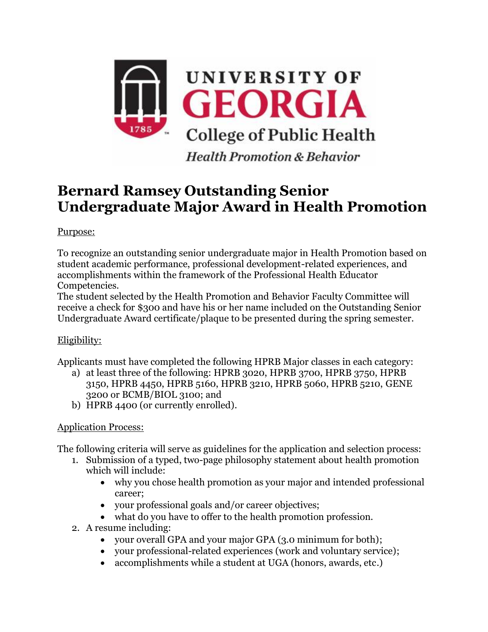

**Health Promotion & Behavior** 

## **Bernard Ramsey Outstanding Senior Undergraduate Major Award in Health Promotion**

Purpose:

To recognize an outstanding senior undergraduate major in Health Promotion based on student academic performance, professional development-related experiences, and accomplishments within the framework of the Professional Health Educator Competencies.

The student selected by the Health Promotion and Behavior Faculty Committee will receive a check for \$300 and have his or her name included on the Outstanding Senior Undergraduate Award certificate/plaque to be presented during the spring semester.

## Eligibility:

Applicants must have completed the following HPRB Major classes in each category:

- a) at least three of the following: HPRB 3020, HPRB 3700, HPRB 3750, HPRB 3150, HPRB 4450, HPRB 5160, HPRB 3210, HPRB 5060, HPRB 5210, GENE 3200 or BCMB/BIOL 3100; and
- b) HPRB 4400 (or currently enrolled).

## Application Process:

The following criteria will serve as guidelines for the application and selection process:

- 1. Submission of a typed, two-page philosophy statement about health promotion which will include:
	- why you chose health promotion as your major and intended professional career;
	- your professional goals and/or career objectives;
	- what do you have to offer to the health promotion profession.
- 2. A resume including:
	- your overall GPA and your major GPA (3.0 minimum for both);
	- your professional-related experiences (work and voluntary service);
	- accomplishments while a student at UGA (honors, awards, etc.)